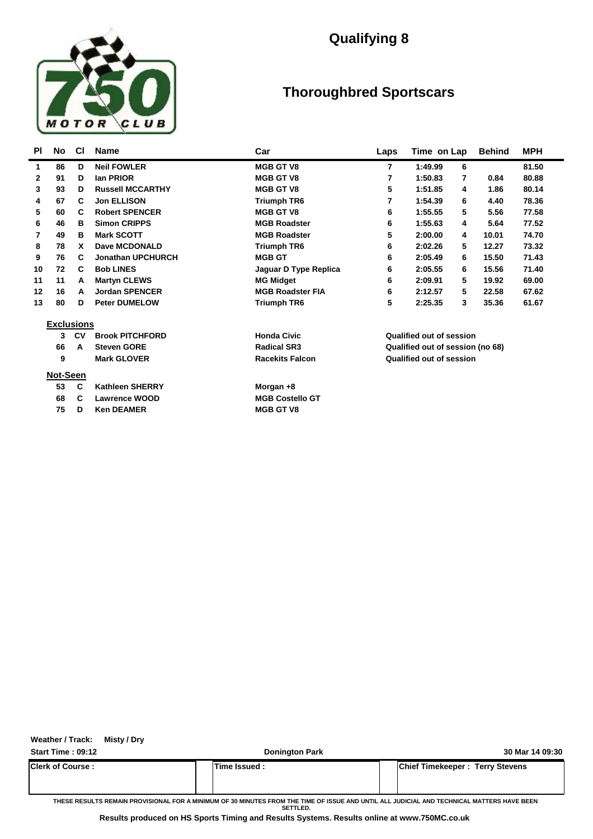

## **Qualifying 8**

## **Thoroughbred Sportscars**

| PI           | No                | <b>CI</b> | <b>Name</b>              | Car                     | Laps | Time on Lap                      | <b>Behind</b> | <b>MPH</b> |  |
|--------------|-------------------|-----------|--------------------------|-------------------------|------|----------------------------------|---------------|------------|--|
| 1            | 86                | D         | <b>Neil FOWLER</b>       | <b>MGB GT V8</b>        | 7    | 1:49.99<br>6                     |               | 81.50      |  |
| $\mathbf{2}$ | 91                | D         | lan PRIOR                | <b>MGB GT V8</b>        | 7    | 1:50.83<br>7                     | 0.84          | 80.88      |  |
| 3            | 93                | D         | <b>Russell MCCARTHY</b>  | <b>MGB GT V8</b>        | 5    | 1:51.85<br>4                     | 1.86          | 80.14      |  |
| 4            | 67                | C         | <b>Jon ELLISON</b>       | <b>Triumph TR6</b>      | 7    | 1:54.39<br>6                     | 4.40          | 78.36      |  |
| 5            | 60                | C         | <b>Robert SPENCER</b>    | <b>MGB GT V8</b>        | 6    | 1:55.55<br>5                     | 5.56          | 77.58      |  |
| 6            | 46                | в         | <b>Simon CRIPPS</b>      | <b>MGB Roadster</b>     | 6    | 1:55.63<br>4                     | 5.64          | 77.52      |  |
| 7            | 49                | в         | <b>Mark SCOTT</b>        | <b>MGB Roadster</b>     | 5    | 2:00.00<br>4                     | 10.01         | 74.70      |  |
| 8            | 78                | <b>X</b>  | Dave MCDONALD            | <b>Triumph TR6</b>      | 6    | 2:02.26<br>5                     | 12.27         | 73.32      |  |
| 9            | 76                | C         | <b>Jonathan UPCHURCH</b> | <b>MGB GT</b>           | 6    | 2:05.49<br>6                     | 15.50         | 71.43      |  |
| 10           | 72                | C         | <b>Bob LINES</b>         | Jaguar D Type Replica   | 6    | 2:05.55<br>6                     | 15.56         | 71.40      |  |
| 11           | 11                | A         | <b>Martyn CLEWS</b>      | <b>MG Midget</b>        | 6    | 2:09.91<br>5                     | 19.92         | 69.00      |  |
| 12           | 16                | A         | <b>Jordan SPENCER</b>    | <b>MGB Roadster FIA</b> | 6    | 2:12.57<br>5                     | 22.58         | 67.62      |  |
| 13           | 80                | D         | <b>Peter DUMELOW</b>     | <b>Triumph TR6</b>      | 5    | 2:25.35<br>3                     | 35.36         | 61.67      |  |
|              | <b>Exclusions</b> |           |                          |                         |      |                                  |               |            |  |
|              | 3                 | <b>CV</b> | <b>Brook PITCHFORD</b>   | <b>Honda Civic</b>      |      | <b>Qualified out of session</b>  |               |            |  |
|              | 66                | A         | <b>Steven GORE</b>       | <b>Radical SR3</b>      |      | Qualified out of session (no 68) |               |            |  |
|              | 9                 |           | <b>Mark GLOVER</b>       | <b>Racekits Falcon</b>  |      | <b>Qualified out of session</b>  |               |            |  |
|              | Not-Seen          |           |                          |                         |      |                                  |               |            |  |
|              | 53                | C         | <b>Kathleen SHERRY</b>   | Morgan +8               |      |                                  |               |            |  |
|              | 68                | C         | <b>Lawrence WOOD</b>     | <b>MGB Costello GT</b>  |      |                                  |               |            |  |
|              | 75                | D         | <b>Ken DEAMER</b>        | <b>MGB GT V8</b>        |      |                                  |               |            |  |

**Weather / Track: Misty / Dry**

**Start Time : 09:12 Donington Park 30 Mar 14 09:30**

**Clerk of Course : Time Issued : Chief Timekeeper : Terry Stevens**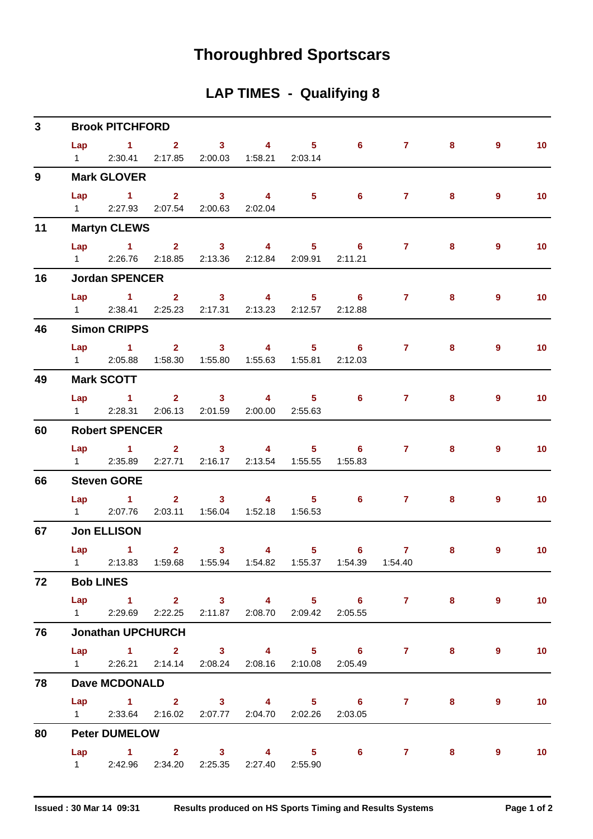# **Thoroughbred Sportscars**

## **LAP TIMES - Qualifying 8**

| $\mathbf{3}$ |                | <b>Brook PITCHFORD</b>                                        |  |                                         |                                                                                      |                                                                                                                                                                                                                                                                                                                                    |                |                |                   |
|--------------|----------------|---------------------------------------------------------------|--|-----------------------------------------|--------------------------------------------------------------------------------------|------------------------------------------------------------------------------------------------------------------------------------------------------------------------------------------------------------------------------------------------------------------------------------------------------------------------------------|----------------|----------------|-------------------|
|              |                | Lap 1 2 3 4 5 6<br>1 2:30.41 2:17.85 2:00.03 1:58.21 2:03.14  |  |                                         |                                                                                      | $\overline{7}$                                                                                                                                                                                                                                                                                                                     | 8              | $\overline{9}$ | 10                |
| $9^{\circ}$  |                | <b>Mark GLOVER</b>                                            |  |                                         |                                                                                      |                                                                                                                                                                                                                                                                                                                                    |                |                |                   |
|              |                | 1 2:27.93 2:07.54 2:00.63 2:02.04                             |  |                                         |                                                                                      | Lap 1 2 3 4 5 6 7 8                                                                                                                                                                                                                                                                                                                |                | $\overline{9}$ | 10                |
|              |                |                                                               |  |                                         |                                                                                      |                                                                                                                                                                                                                                                                                                                                    |                |                |                   |
| 11           |                | <b>Martyn CLEWS</b>                                           |  |                                         |                                                                                      |                                                                                                                                                                                                                                                                                                                                    |                |                |                   |
|              | Lap            | $\sim$ 1<br>1 2:26.76 2:18.85 2:13.36 2:12.84 2:09.91 2:11.21 |  | $2 \t 3 \t 4$                           | $5 \t\t 6$                                                                           | $\overline{7}$ and $\overline{7}$ and $\overline{7}$ and $\overline{7}$ and $\overline{7}$ and $\overline{7}$ and $\overline{7}$ and $\overline{7}$ and $\overline{1}$ and $\overline{1}$ and $\overline{1}$ and $\overline{1}$ and $\overline{1}$ and $\overline{1}$ and $\overline{1}$ and $\overline{1}$ and $\overline{1}$ and | 8              | 9              | 10                |
| 16           |                | <b>Jordan SPENCER</b>                                         |  |                                         |                                                                                      |                                                                                                                                                                                                                                                                                                                                    |                |                |                   |
|              | Lap            | $1 \qquad 2 \qquad 3 \qquad 4 \qquad 5 \qquad 6$              |  |                                         |                                                                                      | $7 \pm 1$                                                                                                                                                                                                                                                                                                                          | 8              | 9              | 10                |
|              |                | 1 2:38.41 2:25.23 2:17.31 2:13.23 2:12.57 2:12.88             |  |                                         |                                                                                      |                                                                                                                                                                                                                                                                                                                                    |                |                |                   |
| 46           |                | <b>Simon CRIPPS</b>                                           |  |                                         |                                                                                      |                                                                                                                                                                                                                                                                                                                                    |                |                |                   |
|              |                |                                                               |  |                                         |                                                                                      | Lap 1 2 3 4 5 6 7                                                                                                                                                                                                                                                                                                                  | 8              | $\overline{9}$ | 10                |
|              |                | 1 2:05.88  1:58.30  1:55.80  1:55.63  1:55.81  2:12.03        |  |                                         |                                                                                      |                                                                                                                                                                                                                                                                                                                                    |                |                |                   |
| 49           |                | <b>Mark SCOTT</b>                                             |  |                                         |                                                                                      |                                                                                                                                                                                                                                                                                                                                    |                |                |                   |
|              |                |                                                               |  |                                         |                                                                                      | Lap 1 2 3 4 5 6 7 8                                                                                                                                                                                                                                                                                                                |                | 9              | 10                |
|              | $1 \quad \Box$ |                                                               |  | 2:28.31 2:06.13 2:01.59 2:00.00 2:55.63 |                                                                                      |                                                                                                                                                                                                                                                                                                                                    |                |                |                   |
| 60           |                | <b>Robert SPENCER</b>                                         |  |                                         |                                                                                      |                                                                                                                                                                                                                                                                                                                                    |                |                |                   |
|              |                |                                                               |  |                                         |                                                                                      | Lap 1 2 3 4 5 6 7 8                                                                                                                                                                                                                                                                                                                |                | $\overline{9}$ | 10                |
|              |                | 1 2:35.89 2:27.71 2:16.17 2:13.54 1:55.55 1:55.83             |  |                                         |                                                                                      |                                                                                                                                                                                                                                                                                                                                    |                |                |                   |
| 66           |                | <b>Steven GORE</b>                                            |  |                                         |                                                                                      |                                                                                                                                                                                                                                                                                                                                    |                |                |                   |
|              |                |                                                               |  |                                         |                                                                                      | Lap 1 2 3 4 5 6 7                                                                                                                                                                                                                                                                                                                  | 8 <sup>1</sup> | 9              | 10                |
|              |                | 1 2:07.76                                                     |  | 2:03.11  1:56.04  1:52.18  1:56.53      |                                                                                      |                                                                                                                                                                                                                                                                                                                                    |                |                |                   |
| 67           |                | <b>Jon ELLISON</b>                                            |  |                                         |                                                                                      |                                                                                                                                                                                                                                                                                                                                    |                |                |                   |
|              |                |                                                               |  |                                         | Lap 1 2 3 4 5 6 7<br>1 2:13.83  1:59.68  1:55.94  1:54.82  1:55.37  1:54.39  1:54.40 |                                                                                                                                                                                                                                                                                                                                    | 8              | 9              | 10                |
| 72           |                | <b>Bob LINES</b>                                              |  |                                         |                                                                                      |                                                                                                                                                                                                                                                                                                                                    |                |                |                   |
|              |                |                                                               |  |                                         |                                                                                      |                                                                                                                                                                                                                                                                                                                                    |                |                |                   |
|              |                | 1 2:29.69 2:22.25 2:11.87 2:08.70 2:09.42 2:05.55             |  |                                         |                                                                                      | Lap 1 2 3 4 5 6 7 8                                                                                                                                                                                                                                                                                                                |                | 9              | $\sim$ 10         |
| 76           |                | <b>Jonathan UPCHURCH</b>                                      |  |                                         |                                                                                      |                                                                                                                                                                                                                                                                                                                                    |                |                |                   |
|              |                |                                                               |  |                                         |                                                                                      | Lap 1 2 3 4 5 6 7 8                                                                                                                                                                                                                                                                                                                |                | $9^{\circ}$    | $\blacksquare$ 10 |
|              |                | 1 2:26.21 2:14.14 2:08.24 2:08.16 2:10.08 2:05.49             |  |                                         |                                                                                      |                                                                                                                                                                                                                                                                                                                                    |                |                |                   |
| 78           |                | <b>Dave MCDONALD</b>                                          |  |                                         |                                                                                      |                                                                                                                                                                                                                                                                                                                                    |                |                |                   |
|              |                |                                                               |  |                                         |                                                                                      | Lap 1 2 3 4 5 6 7 8                                                                                                                                                                                                                                                                                                                |                | $9^{\circ}$    | $\blacksquare$ 10 |
|              |                | 1 2:33.64 2:16.02 2:07.77 2:04.70 2:02.26 2:03.05             |  |                                         |                                                                                      |                                                                                                                                                                                                                                                                                                                                    |                |                |                   |
| 80           |                | <b>Peter DUMELOW</b>                                          |  |                                         |                                                                                      |                                                                                                                                                                                                                                                                                                                                    |                |                |                   |
|              |                |                                                               |  |                                         |                                                                                      | Lap 1 2 3 4 5 6 7 8 9                                                                                                                                                                                                                                                                                                              |                |                | $\sim$ 10         |
|              |                | 1 2:42.96 2:34.20 2:25.35 2:27.40 2:55.90                     |  |                                         |                                                                                      |                                                                                                                                                                                                                                                                                                                                    |                |                |                   |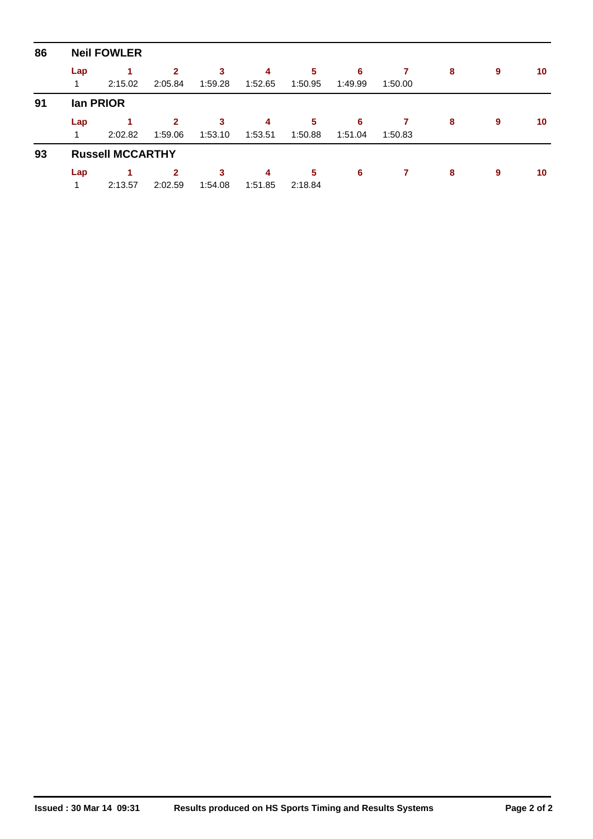| 86 |          | <b>Neil FOWLER</b>      |                           |              |              |              |              |         |   |   |    |
|----|----------|-------------------------|---------------------------|--------------|--------------|--------------|--------------|---------|---|---|----|
|    | Lap<br>1 | 2:15.02                 | $\mathbf{2}$<br>2:05.84   | 3<br>1:59.28 | 4<br>1:52.65 | 5<br>1:50.95 | 6<br>1:49.99 | 1:50.00 | 8 | 9 | 10 |
| 91 |          | lan PRIOR               |                           |              |              |              |              |         |   |   |    |
|    | Lap<br>1 | 1<br>2:02.82            | $\overline{2}$<br>1:59.06 | 3<br>1:53.10 | 4<br>1:53.51 | 5<br>1:50.88 | 6<br>1:51.04 | 1:50.83 | 8 | 9 | 10 |
| 93 |          | <b>Russell MCCARTHY</b> |                           |              |              |              |              |         |   |   |    |
|    | Lap      |                         | $\mathbf{2}$              | 3            | 4            | 5            | 6            |         | 8 | 9 | 10 |
|    | 1        | 2:13.57                 | 2:02.59                   | 1:54.08      | 1:51.85      | 2:18.84      |              |         |   |   |    |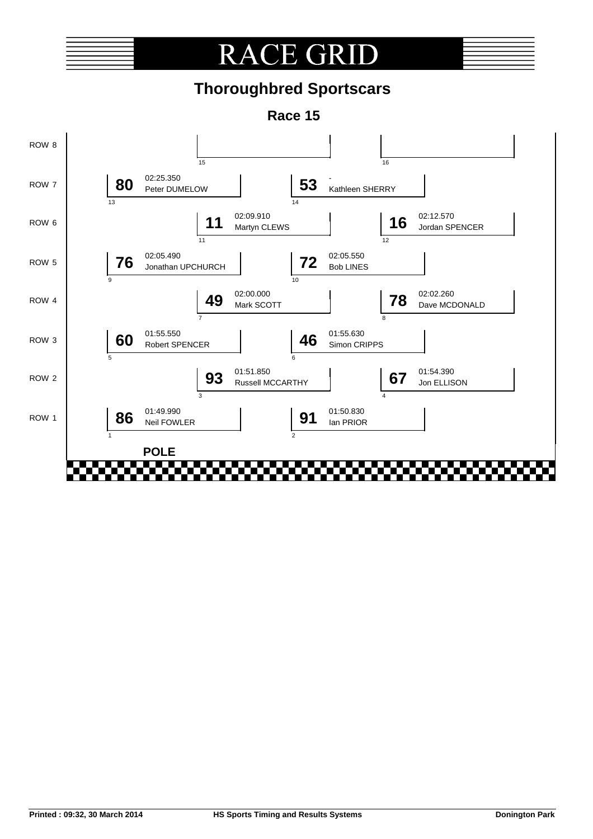# **RACE GRI**

# **Thoroughbred Sportscars**

**Race 15**

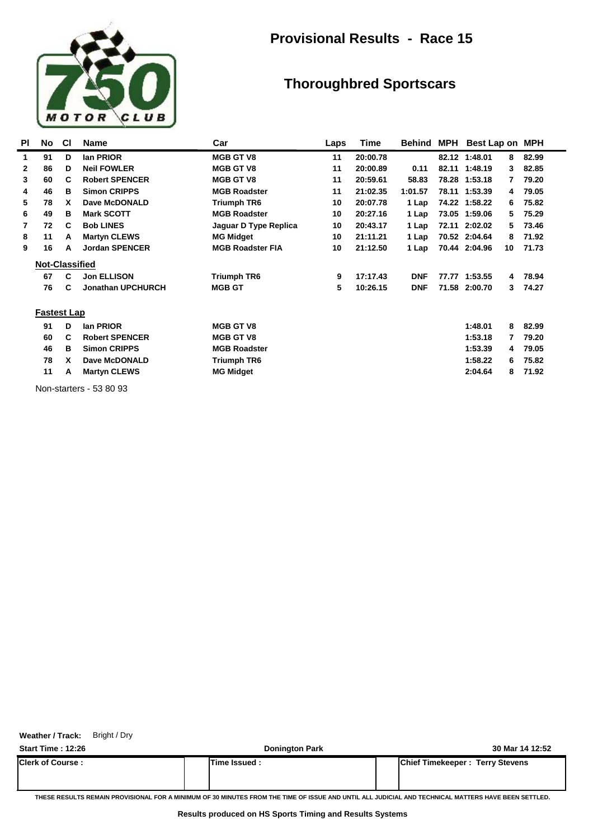

### **Provisional Results - Race 15**

### **Thoroughbred Sportscars**

| PI | No                    | <b>CI</b> | <b>Name</b>              | Car                     | Laps | Time     | Behind     | MPH   | Best Lap on   |    | <b>MPH</b> |
|----|-----------------------|-----------|--------------------------|-------------------------|------|----------|------------|-------|---------------|----|------------|
| 1  | 91                    | D         | lan PRIOR                | <b>MGB GT V8</b>        | 11   | 20:00.78 |            |       | 82.12 1:48.01 | 8  | 82.99      |
| 2  | 86                    | D         | <b>Neil FOWLER</b>       | <b>MGB GT V8</b>        | 11   | 20:00.89 | 0.11       |       | 82.11 1:48.19 | 3  | 82.85      |
| 3  | 60                    | C         | <b>Robert SPENCER</b>    | <b>MGB GT V8</b>        | 11   | 20:59.61 | 58.83      |       | 78.28 1:53.18 | 7  | 79.20      |
| 4  | 46                    | в         | <b>Simon CRIPPS</b>      | <b>MGB Roadster</b>     | 11   | 21:02.35 | 1:01.57    |       | 78.11 1:53.39 | 4  | 79.05      |
| 5  | 78                    | x         | Dave McDONALD            | <b>Triumph TR6</b>      | 10   | 20:07.78 | 1 Lap      |       | 74.22 1:58.22 | 6  | 75.82      |
| 6  | 49                    | в         | <b>Mark SCOTT</b>        | <b>MGB Roadster</b>     | 10   | 20:27.16 | 1 Lap      |       | 73.05 1:59.06 | 5  | 75.29      |
| 7  | 72                    | C         | <b>Bob LINES</b>         | Jaguar D Type Replica   | 10   | 20:43.17 | 1 Lap      | 72.11 | 2:02.02       | 5. | 73.46      |
| 8  | 11                    | А         | <b>Martyn CLEWS</b>      | <b>MG Midget</b>        | 10   | 21:11.21 | 1 Lap      |       | 70.52 2:04.64 | 8  | 71.92      |
| 9  | 16                    | А         | <b>Jordan SPENCER</b>    | <b>MGB Roadster FIA</b> | 10   | 21:12.50 | 1 Lap      |       | 70.44 2:04.96 | 10 | 71.73      |
|    | <b>Not-Classified</b> |           |                          |                         |      |          |            |       |               |    |            |
|    | 67                    | C         | <b>Jon ELLISON</b>       | <b>Triumph TR6</b>      | 9    | 17:17.43 | <b>DNF</b> |       | 77.77 1:53.55 | 4  | 78.94      |
|    | 76                    | C         | <b>Jonathan UPCHURCH</b> | <b>MGB GT</b>           | 5    | 10:26.15 | <b>DNF</b> |       | 71.58 2:00.70 | 3  | 74.27      |
|    | <b>Fastest Lap</b>    |           |                          |                         |      |          |            |       |               |    |            |
|    | 91                    | D         | lan PRIOR                | <b>MGB GT V8</b>        |      |          |            |       | 1:48.01       | 8  | 82.99      |
|    | 60                    | c         | <b>Robert SPENCER</b>    | <b>MGB GT V8</b>        |      |          |            |       | 1:53.18       | 7  | 79.20      |
|    | 46                    | в         | <b>Simon CRIPPS</b>      | <b>MGB Roadster</b>     |      |          |            |       | 1:53.39       | 4  | 79.05      |
|    | 78                    | x         | Dave McDONALD            | Triumph TR6             |      |          |            |       | 1:58.22       | 6  | 75.82      |
|    | 11                    | А         | <b>Martyn CLEWS</b>      | <b>MG Midget</b>        |      |          |            |       | 2:04.64       | 8  | 71.92      |

Non-starters - 53 80 93

**Weather / Track:** Bright / Dry

**Start Time : 12:26 Donington Park 30 Mar 14 12:52 Clerk of Course : Time Issued : Chief Timekeeper : Terry Stevens**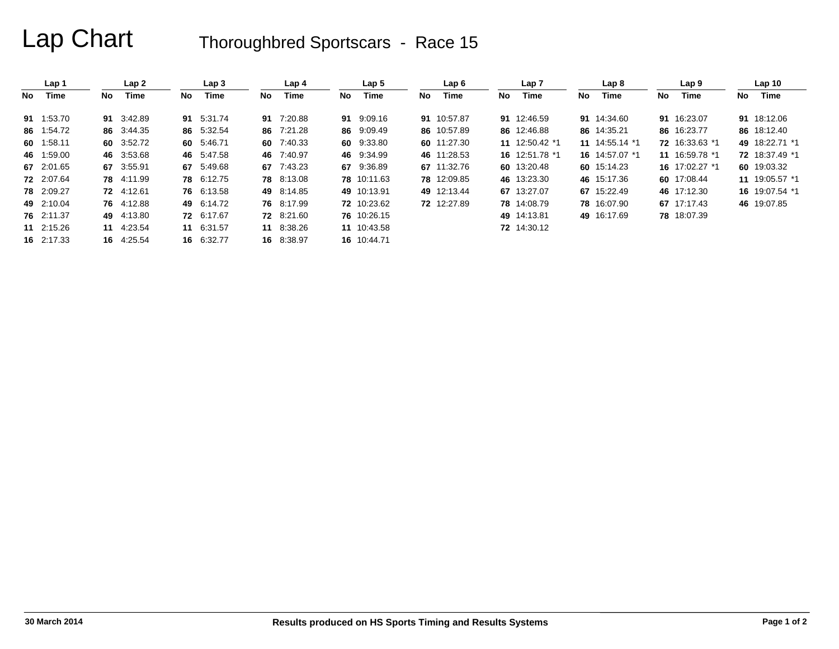|    | Lap 1      |     | Lap2       |      | Lap <sub>3</sub> |     | Lap <sub>4</sub> |     | Lap <sub>5</sub> |     | Lap6        |    | Lap 7          |      | Lap <sub>8</sub> |    | Lap <sub>9</sub> |     | Lap <sub>10</sub> |
|----|------------|-----|------------|------|------------------|-----|------------------|-----|------------------|-----|-------------|----|----------------|------|------------------|----|------------------|-----|-------------------|
| No | Time       | No. | Time       | No l | Time             | No. | Time             | No. | Time             | No. | Time        | No | Time           | No l | Time             | No | Time             | No. | Time              |
|    | 91 1:53.70 |     | 91 3:42.89 |      | 91 5:31.74       |     | 91 7:20.88       |     | 91 9:09.16       |     | 91 10:57.87 |    | 91 12:46.59    |      | 91 14:34.60      |    | 91 16:23.07      |     | 91 18:12.06       |
|    | 86 1:54.72 |     | 86 3:44.35 |      | 86 5:32.54       |     | 86 7:21.28       |     | 86 9:09.49       |     | 86 10:57.89 |    | 86 12:46.88    |      | 86 14:35.21      |    | 86 16:23.77      |     | 86 18:12.40       |
|    | 60 1:58.11 |     | 60 3:52.72 |      | 60 5:46.71       | 60  | 7:40.33          |     | 60 9:33.80       |     | 60 11:27.30 |    | 11 12:50.42 *1 |      | 11 14:55.14 *1   |    | 72 16:33.63 *1   |     | 49 18:22.71 *1    |
|    | 46 1:59.00 |     | 46 3:53.68 |      | 46 5:47.58       | 46  | 7:40.97          |     | 46 9:34.99       |     | 46 11:28.53 |    | 16 12:51.78 *1 |      | 16 14:57.07 *1   |    | 11 16:59.78 *1   |     | 72 18:37.49 *1    |
|    | 67 2:01.65 |     | 67 3:55.91 |      | 67 5:49.68       | 67  | 7:43.23          |     | 67 9:36.89       |     | 67 11:32.76 |    | 60 13:20.48    |      | 60 15:14.23      |    | 16 17:02.27 *1   |     | 60 19:03.32       |
|    | 72 2:07.64 |     | 78 4:11.99 |      | 78 6:12.75       |     | 78 8:13.08       |     | 78 10:11.63      |     | 78 12:09.85 |    | 46 13:23.30    |      | 46 15:17.36      |    | 60 17:08.44      |     | 11 19:05.57 *1    |
|    | 78 2:09.27 |     | 72 4:12.61 |      | 76 6:13.58       |     | 49 8:14.85       |     | 49 10:13.91      |     | 49 12:13.44 |    | 67 13:27.07    |      | 67 15:22.49      |    | 46 17:12.30      |     | 16 19:07.54 *1    |
|    | 49 2:10.04 |     | 76 4:12.88 |      | 49 6:14.72       |     | 76 8:17.99       |     | 72 10:23.62      |     | 72 12:27.89 |    | 78 14:08.79    |      | 78 16:07.90      |    | 67 17:17.43      |     | 46 19:07.85       |
|    | 76 2:11.37 |     | 49 4:13.80 |      | 72 6:17.67       |     | 72 8:21.60       |     | 76 10:26.15      |     |             |    | 49 14:13.81    |      | 49 16:17.69      |    | 78 18:07.39      |     |                   |
|    | 11 2:15.26 |     | 11 4:23.54 |      | 11 6:31.57       |     | 11 8:38.26       |     | 11 10:43.58      |     |             |    | 72 14:30.12    |      |                  |    |                  |     |                   |
|    | 16 2:17.33 |     | 16 4:25.54 |      | 16 6:32.77       |     | 16 8:38.97       |     | 16 10:44.71      |     |             |    |                |      |                  |    |                  |     |                   |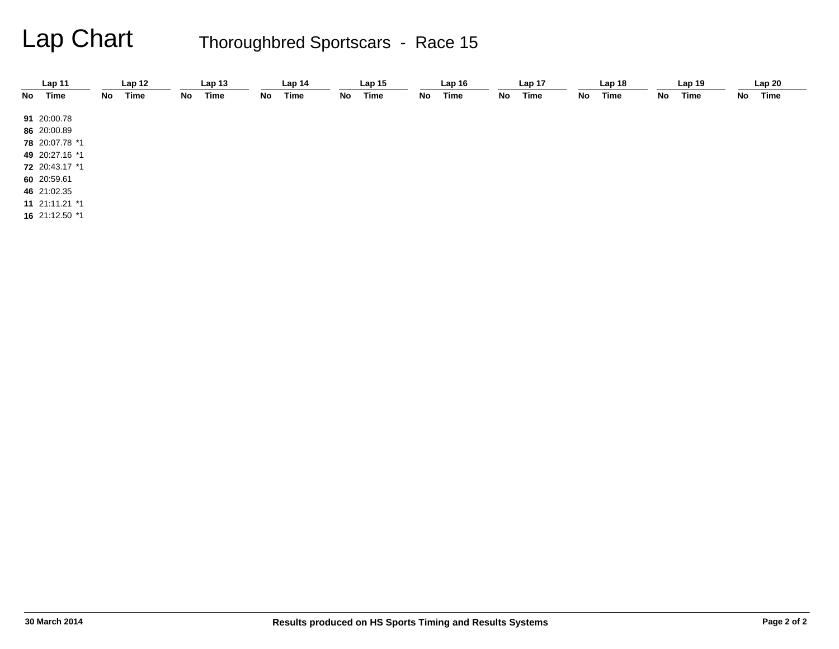|    | Lap 11         |    | Lap <sub>12</sub> |    | Lap <sub>13</sub> |    | Lap <sub>14</sub> |    | Lap <sub>15</sub> |    | Lap <sub>16</sub> |    | Lap <sub>17</sub> |    | Lap <sub>18</sub> |    | Lap <sub>19</sub> |    | Lap20 |
|----|----------------|----|-------------------|----|-------------------|----|-------------------|----|-------------------|----|-------------------|----|-------------------|----|-------------------|----|-------------------|----|-------|
| No | Time           | No | Time              | No | Time              | No | <b>Time</b>       | No | Time              | No | Time              | No | Time              | No | Time              | No | Time              | No | Time  |
|    | 91 20:00.78    |    |                   |    |                   |    |                   |    |                   |    |                   |    |                   |    |                   |    |                   |    |       |
|    | 86 20:00.89    |    |                   |    |                   |    |                   |    |                   |    |                   |    |                   |    |                   |    |                   |    |       |
|    |                |    |                   |    |                   |    |                   |    |                   |    |                   |    |                   |    |                   |    |                   |    |       |
|    | 78 20:07.78 *1 |    |                   |    |                   |    |                   |    |                   |    |                   |    |                   |    |                   |    |                   |    |       |
|    | 49 20:27.16 *1 |    |                   |    |                   |    |                   |    |                   |    |                   |    |                   |    |                   |    |                   |    |       |
|    | 72 20:43.17 *1 |    |                   |    |                   |    |                   |    |                   |    |                   |    |                   |    |                   |    |                   |    |       |
|    | 60 20:59.61    |    |                   |    |                   |    |                   |    |                   |    |                   |    |                   |    |                   |    |                   |    |       |
|    | 46 21:02.35    |    |                   |    |                   |    |                   |    |                   |    |                   |    |                   |    |                   |    |                   |    |       |
|    | 11 21:11.21 *1 |    |                   |    |                   |    |                   |    |                   |    |                   |    |                   |    |                   |    |                   |    |       |
|    | 16 21:12.50 *1 |    |                   |    |                   |    |                   |    |                   |    |                   |    |                   |    |                   |    |                   |    |       |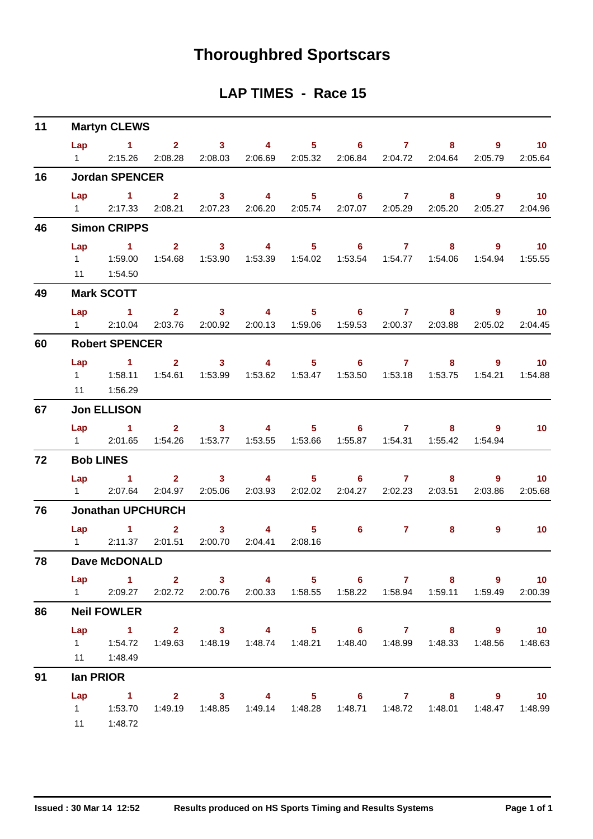# **Thoroughbred Sportscars**

#### **LAP TIMES - Race 15**

| 11 |                       | <b>Martyn CLEWS</b>                                                                                                                              |                                |                                    |                                    |         |                                                                              |                 |                                    |                    |                              |
|----|-----------------------|--------------------------------------------------------------------------------------------------------------------------------------------------|--------------------------------|------------------------------------|------------------------------------|---------|------------------------------------------------------------------------------|-----------------|------------------------------------|--------------------|------------------------------|
|    | $1 \qquad \qquad$     | Lap 1 2 3 4 5 6 7<br>2:15.26                                                                                                                     | 2:08.28                        |                                    |                                    |         | 2:08.03  2:06.69  2:05.32  2:06.84  2:04.72  2:04.64                         |                 |                                    | $8 - 1$<br>2:05.79 | $9 \t 10$<br>2:05.64         |
| 16 |                       | <b>Jordan SPENCER</b>                                                                                                                            |                                |                                    |                                    |         |                                                                              |                 |                                    |                    |                              |
|    |                       | $Lap$ 1 2<br>1 2:17.33                                                                                                                           |                                |                                    |                                    |         | 3 4 5 6 7 8<br>2:08.21  2:07.23  2:06.20  2:05.74  2:07.07  2:05.29  2:05.20 |                 |                                    | 2:05.27            | $\overline{10}$<br>2:04.96   |
| 46 |                       | <b>Simon CRIPPS</b>                                                                                                                              |                                |                                    |                                    |         |                                                                              |                 |                                    |                    |                              |
|    | Lap                   | $\sim$ 1<br>1   1:59.00   1:54.68   1:53.90   1:53.39   1:54.02   1:53.54   1:54.77   1:54.06   1:54.94   1:55.55<br>11  1:54.50                 |                                | $2 \t 3$                           |                                    |         | 4 5 6 7 8 9 10                                                               |                 |                                    |                    |                              |
| 49 |                       | <b>Mark SCOTT</b>                                                                                                                                |                                |                                    |                                    |         |                                                                              |                 |                                    |                    |                              |
|    | Lap<br>$1 \quad \Box$ | 1 2 3 4 5 6 7<br>2:10.04                                                                                                                         |                                |                                    |                                    |         | 2:03.76  2:00.92  2:00.13  1:59.06  1:59.53  2:00.37  2:03.88                |                 |                                    | 8 9 10<br>2:05.02  | 2:04.45                      |
| 60 |                       | <b>Robert SPENCER</b>                                                                                                                            |                                |                                    |                                    |         |                                                                              |                 |                                    |                    |                              |
|    |                       | Lap 1 2 3 4 5 6 7 8<br>11  1:56.29                                                                                                               |                                |                                    |                                    |         | 1:53.62  1:53.47  1:53.50  1:53.18  1:53.75  1:54.21  1:54.88                |                 |                                    | $9^{\circ}$        | $\overline{10}$              |
| 67 |                       | <b>Jon ELLISON</b>                                                                                                                               |                                |                                    |                                    |         |                                                                              |                 |                                    |                    |                              |
|    |                       | Lap 1 2 3 4 5 6 7 8 9<br>1 2:01.65                                                                                                               |                                | 1:54.26  1:53.77  1:53.55  1:53.66 |                                    |         |                                                                              |                 | 1:55.87  1:54.31  1:55.42  1:54.94 |                    | 10                           |
| 72 |                       | <b>Bob LINES</b>                                                                                                                                 |                                |                                    |                                    |         |                                                                              |                 |                                    |                    |                              |
|    | $1 \quad \Box$        | Lap 1<br>2:07.64                                                                                                                                 | 2:04.97                        | 2:05.06                            | 2:03.93 2:02.02                    |         | 2 3 4 5 6 7                                                                  | 2:04.27 2:02.23 | $8 -$<br>2:03.51                   | 9<br>2:03.86       | $\blacksquare$ 10<br>2:05.68 |
| 76 |                       | <b>Jonathan UPCHURCH</b>                                                                                                                         |                                |                                    |                                    |         |                                                                              |                 |                                    |                    |                              |
|    | $1 \quad \Box$        | $Lap$ 1                                                                                                                                          | $2^{\circ}$<br>2:11.37 2:01.51 | 3 <sup>7</sup><br>2:00.70          | $\overline{\mathbf{4}}$<br>2:04.41 | 2:08.16 | $5 \t\t 6 \t\t 7$                                                            |                 | 8                                  | 9                  | 10                           |
| 78 |                       | <b>Dave McDONALD</b>                                                                                                                             |                                |                                    |                                    |         |                                                                              |                 |                                    |                    |                              |
|    |                       | Lap 1 2 3 4 5 6 7 8 9 10<br>1 2:09.27 2:02.72 2:00.76 2:00.33 1:58.55 1:58.22 1:58.94 1:59.11 1:59.49                                            |                                |                                    |                                    |         |                                                                              |                 |                                    |                    | 2:00.39                      |
| 86 |                       | <b>Neil FOWLER</b>                                                                                                                               |                                |                                    |                                    |         |                                                                              |                 |                                    |                    |                              |
|    |                       | Lap 1 2 3 4 5 6 7 8 9 10<br>1   1:54.72   1:49.63   1:48.19   1:48.74   1:48.21   1:48.40   1:48.99   1:48.33   1:48.56   1:48.63<br>11  1:48.49 |                                |                                    |                                    |         |                                                                              |                 |                                    |                    |                              |
| 91 |                       | lan PRIOR                                                                                                                                        |                                |                                    |                                    |         |                                                                              |                 |                                    |                    |                              |
|    | Lap                   | 1 2 3 4 5 6 7 8 9 10<br>1   1:53.70   1:49.19   1:48.85   1:49.14   1:48.28   1:48.71   1:48.72   1:48.01   1:48.47   1:48.99<br>11   1:48.72    |                                |                                    |                                    |         |                                                                              |                 |                                    |                    |                              |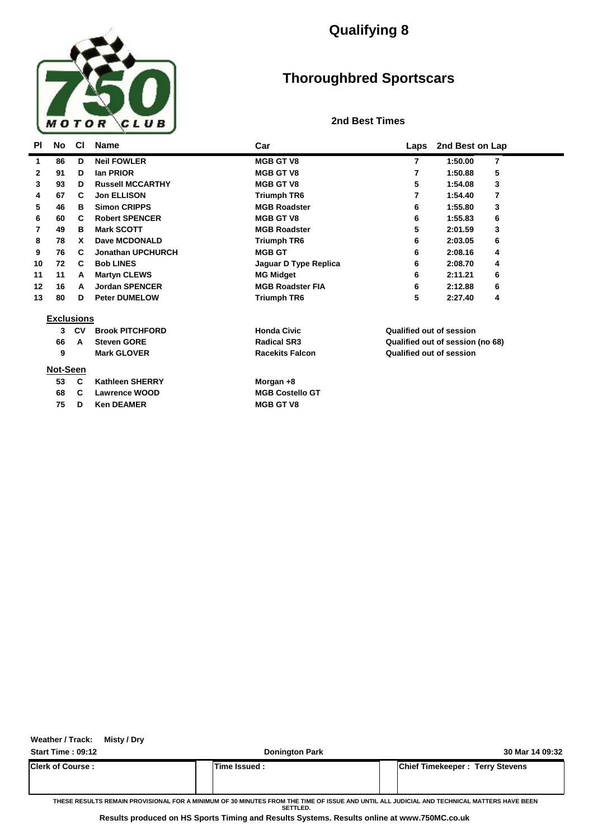

## **Qualifying 8**

## **Thoroughbred Sportscars**

#### **2nd Best Times**

| <b>PI</b>    | No                | <b>CI</b> | <b>Name</b>              | Car                     | Laps                     | 2nd Best on Lap                  |  |
|--------------|-------------------|-----------|--------------------------|-------------------------|--------------------------|----------------------------------|--|
| 1            | 86                | D         | <b>Neil FOWLER</b>       | <b>MGB GT V8</b>        | 7                        | 1:50.00<br>7                     |  |
| $\mathbf{2}$ | 91                | D         | lan PRIOR                | <b>MGB GT V8</b>        | 7                        | 5<br>1:50.88                     |  |
| 3            | 93                | D         | <b>Russell MCCARTHY</b>  | <b>MGB GT V8</b>        | 5                        | 3<br>1:54.08                     |  |
| 4            | 67                | C         | <b>Jon ELLISON</b>       | Triumph TR6             | 7                        | 1:54.40<br>7                     |  |
| 5            | 46                | в         | <b>Simon CRIPPS</b>      | <b>MGB Roadster</b>     | 6                        | 1:55.80<br>3                     |  |
| 6            | 60                | C         | <b>Robert SPENCER</b>    | <b>MGB GT V8</b>        | 6                        | 1:55.83<br>6                     |  |
| 7            | 49                | в         | <b>Mark SCOTT</b>        | <b>MGB Roadster</b>     | 5                        | 3<br>2:01.59                     |  |
| 8            | 78                | x         | Dave MCDONALD            | <b>Triumph TR6</b>      | 6                        | 6<br>2:03.05                     |  |
| 9            | 76                | C         | <b>Jonathan UPCHURCH</b> | <b>MGB GT</b>           | 6                        | 2:08.16<br>4                     |  |
| 10           | 72                | C         | <b>Bob LINES</b>         | Jaguar D Type Replica   | 6                        | 2:08.70<br>4                     |  |
| 11           | 11                | A         | <b>Martyn CLEWS</b>      | <b>MG Midget</b>        | 6                        | 2:11.21<br>6                     |  |
| 12           | 16                | A         | <b>Jordan SPENCER</b>    | <b>MGB Roadster FIA</b> | 6                        | 2:12.88<br>6                     |  |
| 13           | 80                | D         | <b>Peter DUMELOW</b>     | Triumph TR6             | 5                        | 2:27.40<br>4                     |  |
|              | <b>Exclusions</b> |           |                          |                         |                          |                                  |  |
|              | 3                 | CV        | <b>Brook PITCHFORD</b>   | <b>Honda Civic</b>      | Qualified out of session |                                  |  |
|              | 66                | A         | <b>Steven GORE</b>       | <b>Radical SR3</b>      |                          | Qualified out of session (no 68) |  |
|              | 9                 |           | <b>Mark GLOVER</b>       | <b>Racekits Falcon</b>  | Qualified out of session |                                  |  |
|              | Not-Seen          |           |                          |                         |                          |                                  |  |
|              | 53                | C         | <b>Kathleen SHERRY</b>   | Morgan +8               |                          |                                  |  |
|              | 68                | C         | <b>Lawrence WOOD</b>     | <b>MGB Costello GT</b>  |                          |                                  |  |
|              | 75                | D         | <b>Ken DEAMER</b>        | <b>MGB GT V8</b>        |                          |                                  |  |

**Weather / Track: Misty / Dry**

**Start Time : 09:12 Donington Park 30 Mar 14 09:32**

**Clerk of Course : Time Issued : Chief Timekeeper : Terry Stevens**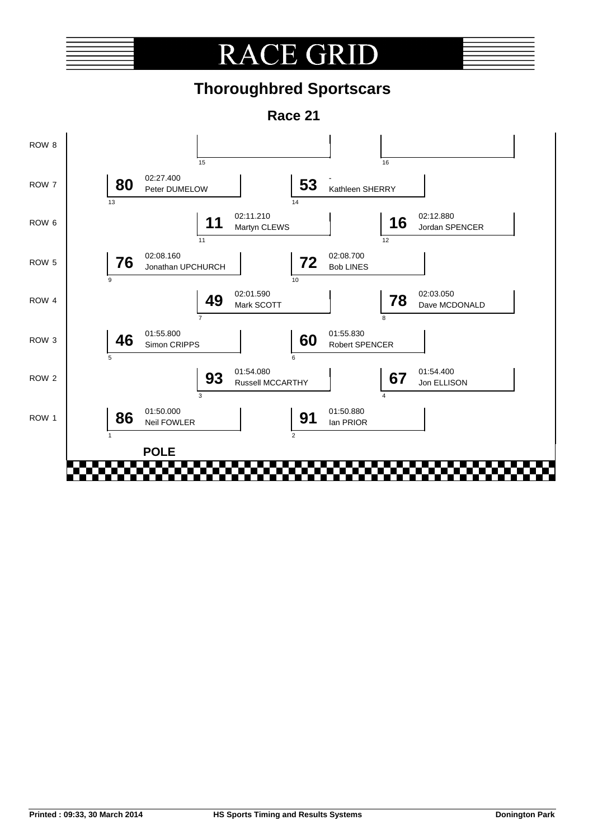# **RACE GRI**

# **Thoroughbred Sportscars**

**Race 21**

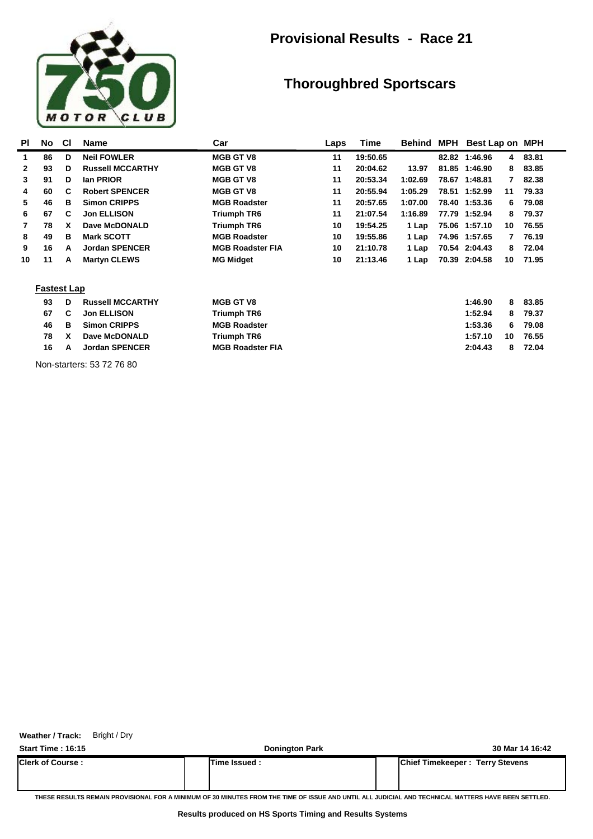

### **Provisional Results - Race 21**

### **Thoroughbred Sportscars**

| <b>PI</b>    | No                 | <b>CI</b> | <b>Name</b>             | Car                     | Laps | Time     | Behind  | MPH   | Best Lap on   |    | <b>MPH</b> |  |
|--------------|--------------------|-----------|-------------------------|-------------------------|------|----------|---------|-------|---------------|----|------------|--|
| 1            | 86                 | D         | <b>Neil FOWLER</b>      | <b>MGB GT V8</b>        | 11   | 19:50.65 |         |       | 82.82 1:46.96 | 4  | 83.81      |  |
| $\mathbf{2}$ | 93                 | D         | <b>Russell MCCARTHY</b> | <b>MGB GT V8</b>        | 11   | 20:04.62 | 13.97   | 81.85 | 1:46.90       | 8  | 83.85      |  |
| 3            | 91                 | D         | lan PRIOR               | <b>MGB GT V8</b>        | 11   | 20:53.34 | 1:02.69 | 78.67 | 1:48.81       | 7  | 82.38      |  |
| 4            | 60                 | C         | <b>Robert SPENCER</b>   | <b>MGB GT V8</b>        | 11   | 20:55.94 | 1:05.29 |       | 78.51 1:52.99 | 11 | 79.33      |  |
| 5            | 46                 | В         | <b>Simon CRIPPS</b>     | <b>MGB Roadster</b>     | 11   | 20:57.65 | 1:07.00 |       | 78.40 1:53.36 | 6  | 79.08      |  |
| 6            | 67                 | C         | <b>Jon ELLISON</b>      | Triumph TR6             | 11   | 21:07.54 | 1:16.89 |       | 77.79 1:52.94 | 8  | 79.37      |  |
| 7            | 78                 | x         | Dave McDONALD           | Triumph TR6             | 10   | 19:54.25 | 1 Lap   |       | 75.06 1:57.10 | 10 | 76.55      |  |
| 8            | 49                 | в         | <b>Mark SCOTT</b>       | <b>MGB Roadster</b>     | 10   | 19:55.86 | 1 Lap   |       | 74.96 1:57.65 | 7  | 76.19      |  |
| 9            | 16                 | A         | <b>Jordan SPENCER</b>   | <b>MGB Roadster FIA</b> | 10   | 21:10.78 | 1 Lap   |       | 70.54 2:04.43 | 8  | 72.04      |  |
| 10           | 11                 | A         | <b>Martyn CLEWS</b>     | <b>MG Midget</b>        | 10   | 21:13.46 | 1 Lap   |       | 70.39 2:04.58 | 10 | 71.95      |  |
|              | <b>Fastest Lap</b> |           |                         |                         |      |          |         |       |               |    |            |  |
|              | 93                 | D         | <b>Russell MCCARTHY</b> | <b>MGB GT V8</b>        |      |          |         |       | 1:46.90       | 8  | 83.85      |  |
|              | 67                 | C         | <b>Jon ELLISON</b>      | Triumph TR6             |      |          |         |       | 1:52.94       | 8  | 79.37      |  |
|              | 46                 | в         | <b>Simon CRIPPS</b>     | <b>MGB Roadster</b>     |      |          |         |       | 1:53.36       | 6  | 79.08      |  |
|              | 78                 | x         | Dave McDONALD           | Triumph TR6             |      |          |         |       | 1:57.10       | 10 | 76.55      |  |
|              | 16                 | A         | <b>Jordan SPENCER</b>   | <b>MGB Roadster FIA</b> |      |          |         |       | 2:04.43       | 8  | 72.04      |  |

Non-starters: 53 72 76 80

**Weather / Track:** Bright / Dry

**Start Time : 16:15 Donington Park 30 Mar 14 16:42 Clerk of Course : Time Issued : Chief Timekeeper : Terry Stevens**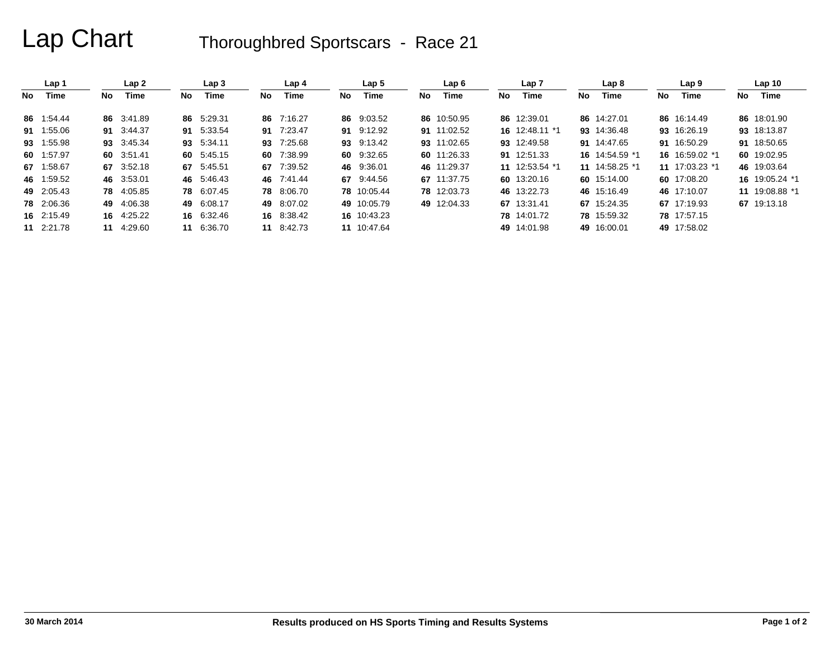|    | Lap 1      |     | Lap <sub>2</sub> |     | Lap <sub>3</sub> |     | Lap <sub>4</sub> |     | Lap <sub>5</sub> |    | Lap6        |     | Lap <sub>7</sub> |     | Lap <sub>8</sub> |     | Lap <sub>9</sub> |     | Lap <sub>10</sub> |
|----|------------|-----|------------------|-----|------------------|-----|------------------|-----|------------------|----|-------------|-----|------------------|-----|------------------|-----|------------------|-----|-------------------|
| No | Time       | No. | <b>Time</b>      | No. | Time             | No. | Time             | No. | Time             | No | Time        | No. | Time             | No. | Time             | No. | Time             | No. | Time              |
|    | 86 1:54.44 |     | 86 3:41.89       |     | 86 5:29.31       |     | 86 7:16.27       |     | 86 9:03.52       |    | 86 10:50.95 |     | 86 12:39.01      |     | 86 14:27.01      |     | 86 16:14.49      |     | 86 18:01.90       |
|    | 91 1:55.06 |     | 91 3:44.37       |     | 91 5:33.54       |     | 91 7:23.47       |     | 91 9:12.92       |    | 91 11:02.52 |     | 16 12:48.11 *1   |     | 93 14:36.48      |     | 93 16:26.19      |     | 93 18:13.87       |
|    | 93 1:55.98 |     | 93 3:45.34       |     | 93 5:34.11       | 93  | 7:25.68          |     | 93 9:13.42       |    | 93 11:02.65 |     | 93 12:49.58      |     | 91 14:47.65      |     | 91 16:50.29      |     | 91 18:50.65       |
|    | 60 1:57.97 |     | 60 3:51.41       |     | 60 5:45.15       | -60 | 7:38.99          |     | 60 9:32.65       |    | 60 11:26.33 |     | 91 12:51.33      |     | 16 14:54.59 *1   |     | 16 16:59.02 *1   |     | 60 19:02.95       |
|    | 67 1:58.67 |     | 67 3:52.18       |     | 67 5:45.51       | 67  | 7:39.52          |     | 46 9:36.01       |    | 46 11:29.37 |     | 11 12:53.54 *1   |     | 11 14:58.25 *1   |     | 11 17:03.23 *1   |     | 46 19:03.64       |
|    | 46 1:59.52 |     | 46 3:53.01       |     | 46 5:46.43       |     | 46 7:41.44       |     | 67 9:44.56       |    | 67 11:37.75 |     | 60 13:20.16      |     | 60 15:14.00      |     | 60 17:08.20      |     | 16 19:05.24 *1    |
|    | 49 2:05.43 |     | 78 4:05.85       |     | 78 6:07.45       |     | 78 8:06.70       |     | 78 10:05.44      |    | 78 12:03.73 |     | 46 13:22.73      |     | 46 15:16.49      |     | 46 17:10.07      |     | 11 19:08.88 *1    |
|    | 78 2:06.36 |     | 49 4:06.38       |     | 49 6:08.17       |     | 49 8:07.02       |     | 49 10:05.79      |    | 49 12:04.33 |     | 67 13:31.41      |     | 67 15:24.35      |     | 67 17:19.93      |     | 67 19:13.18       |
|    | 16 2:15.49 |     | 16 4:25.22       |     | 16 6:32.46       |     | 16 8:38.42       |     | 16 10:43.23      |    |             |     | 78 14:01.72      |     | 78 15:59.32      |     | 78 17:57.15      |     |                   |
|    | 11 2:21.78 | 11  | 4:29.60          |     | 11 6:36.70       |     | 11 8:42.73       |     | 11 10:47.64      |    |             |     | 49 14:01.98      |     | 49 16:00.01      |     | 49 17:58.02      |     |                   |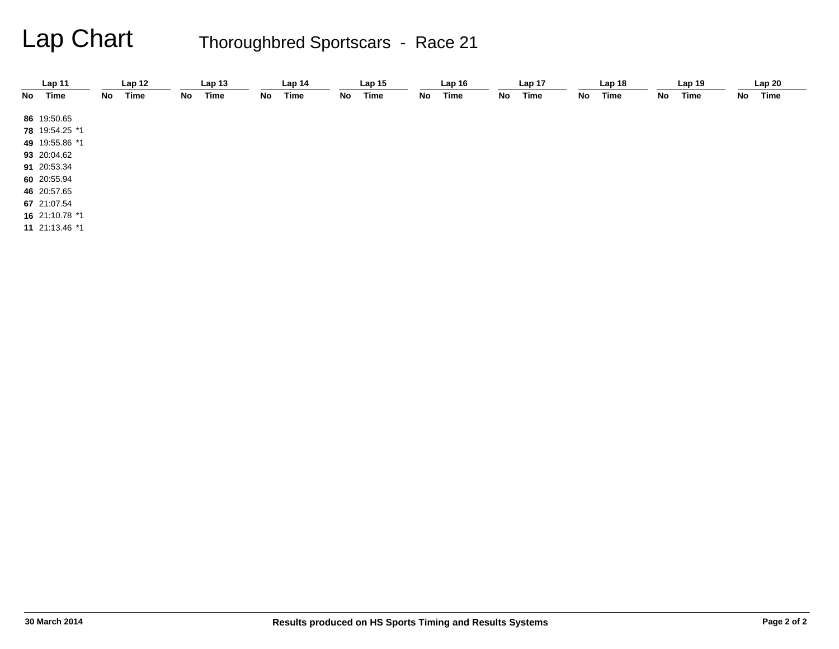|    | Lap 11         |    | Lap <sub>12</sub> |    | Lap <sub>13</sub> |    | Lap 14 |    | Lap <sub>15</sub> |    | Lap16 |    | Lap 17 |    | Lap <sub>18</sub> |    | Lap 19 |    | Lap20 |  |
|----|----------------|----|-------------------|----|-------------------|----|--------|----|-------------------|----|-------|----|--------|----|-------------------|----|--------|----|-------|--|
| No | Time           | No | Time              | No | Time              | No | Time   | No | Time              | No | Time  | No | Time   | No | Time              | No | Time   | No | Time  |  |
|    | 86 19:50.65    |    |                   |    |                   |    |        |    |                   |    |       |    |        |    |                   |    |        |    |       |  |
|    | 78 19:54.25 *1 |    |                   |    |                   |    |        |    |                   |    |       |    |        |    |                   |    |        |    |       |  |
|    | 49 19:55.86 *1 |    |                   |    |                   |    |        |    |                   |    |       |    |        |    |                   |    |        |    |       |  |
|    | 93 20:04.62    |    |                   |    |                   |    |        |    |                   |    |       |    |        |    |                   |    |        |    |       |  |
|    | 91 20:53.34    |    |                   |    |                   |    |        |    |                   |    |       |    |        |    |                   |    |        |    |       |  |
|    | 60 20:55.94    |    |                   |    |                   |    |        |    |                   |    |       |    |        |    |                   |    |        |    |       |  |
|    | 46 20:57.65    |    |                   |    |                   |    |        |    |                   |    |       |    |        |    |                   |    |        |    |       |  |
|    | 67 21:07.54    |    |                   |    |                   |    |        |    |                   |    |       |    |        |    |                   |    |        |    |       |  |
|    | 16 21:10.78 *1 |    |                   |    |                   |    |        |    |                   |    |       |    |        |    |                   |    |        |    |       |  |
|    | 11 21:13.46 *1 |    |                   |    |                   |    |        |    |                   |    |       |    |        |    |                   |    |        |    |       |  |